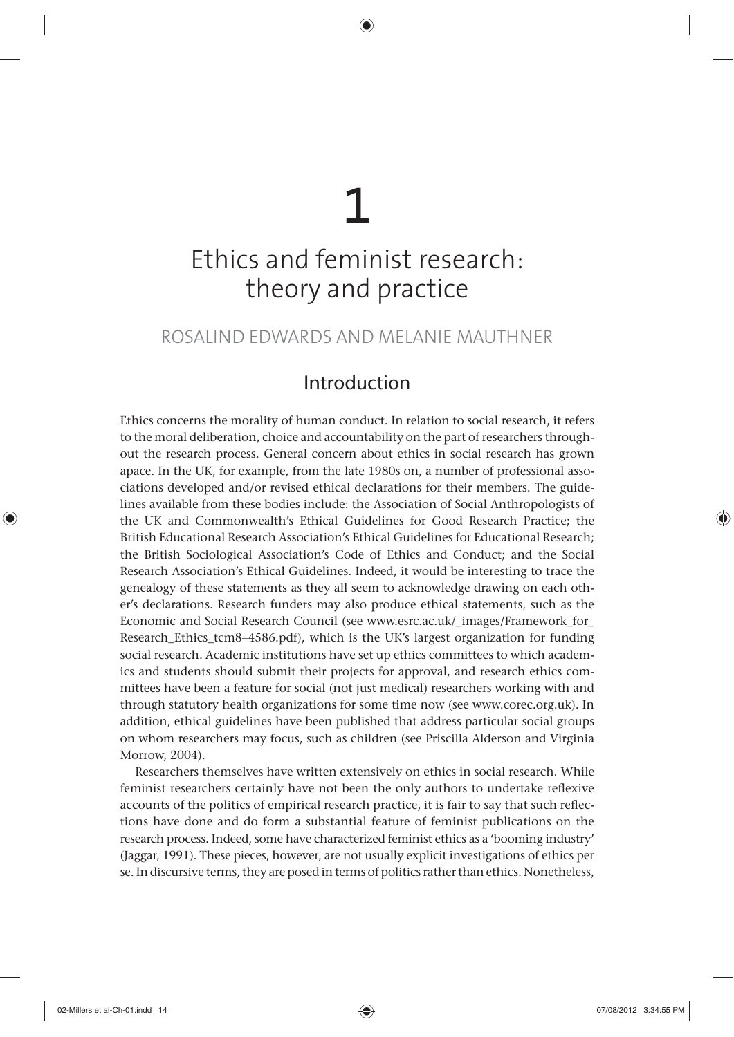# 1

♠

## Ethics and feminist research: theory and practice

#### ROSALIND EDWARDS AND MELANIE MAUTHNER

#### Introduction

Ethics concerns the morality of human conduct. In relation to social research, it refers to the moral deliberation, choice and accountability on the part of researchers throughout the research process. General concern about ethics in social research has grown apace. In the UK, for example, from the late 1980s on, a number of professional associations developed and/or revised ethical declarations for their members. The guidelines available from these bodies include: the Association of Social Anthropologists of the UK and Commonwealth's Ethical Guidelines for Good Research Practice; the British Educational Research Association's Ethical Guidelines for Educational Research; the British Sociological Association's Code of Ethics and Conduct; and the Social Research Association's Ethical Guidelines. Indeed, it would be interesting to trace the genealogy of these statements as they all seem to acknowledge drawing on each other's declarations. Research funders may also produce ethical statements, such as the Economic and Social Research Council (see www.esrc.ac.uk/\_images/Framework\_for\_ Research\_Ethics\_tcm8–4586.pdf), which is the UK's largest organization for funding social research. Academic institutions have set up ethics committees to which academics and students should submit their projects for approval, and research ethics committees have been a feature for social (not just medical) researchers working with and through statutory health organizations for some time now (see www.corec.org.uk). In addition, ethical guidelines have been published that address particular social groups on whom researchers may focus, such as children (see Priscilla Alderson and Virginia Morrow, 2004).

Researchers themselves have written extensively on ethics in social research. While feminist researchers certainly have not been the only authors to undertake reflexive accounts of the politics of empirical research practice, it is fair to say that such reflections have done and do form a substantial feature of feminist publications on the research process. Indeed, some have characterized feminist ethics as a 'booming industry' (Jaggar, 1991). These pieces, however, are not usually explicit investigations of ethics per se. In discursive terms, they are posed in terms of politics rather than ethics. Nonetheless,

♠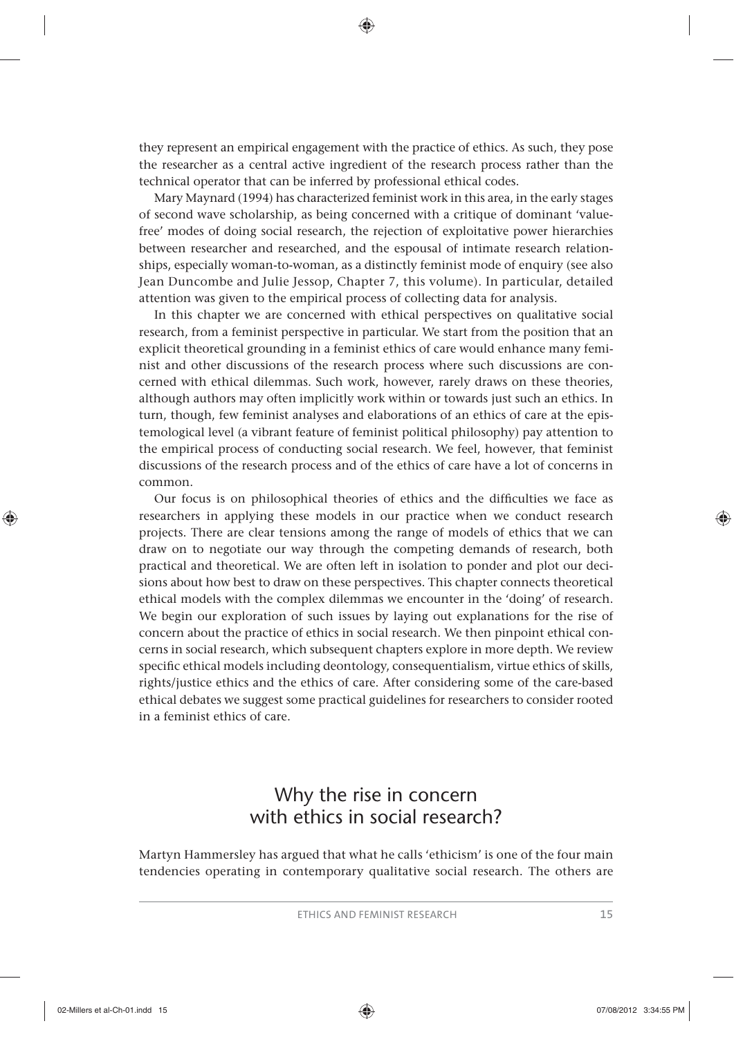they represent an empirical engagement with the practice of ethics. As such, they pose the researcher as a central active ingredient of the research process rather than the technical operator that can be inferred by professional ethical codes.

◈

Mary Maynard (1994) has characterized feminist work in this area, in the early stages of second wave scholarship, as being concerned with a critique of dominant 'valuefree' modes of doing social research, the rejection of exploitative power hierarchies between researcher and researched, and the espousal of intimate research relationships, especially woman-to-woman, as a distinctly feminist mode of enquiry (see also Jean Duncombe and Julie Jessop, Chapter 7, this volume). In particular, detailed attention was given to the empirical process of collecting data for analysis.

In this chapter we are concerned with ethical perspectives on qualitative social research, from a feminist perspective in particular. We start from the position that an explicit theoretical grounding in a feminist ethics of care would enhance many feminist and other discussions of the research process where such discussions are concerned with ethical dilemmas. Such work, however, rarely draws on these theories, although authors may often implicitly work within or towards just such an ethics. In turn, though, few feminist analyses and elaborations of an ethics of care at the epistemological level (a vibrant feature of feminist political philosophy) pay attention to the empirical process of conducting social research. We feel, however, that feminist discussions of the research process and of the ethics of care have a lot of concerns in common.

Our focus is on philosophical theories of ethics and the difficulties we face as researchers in applying these models in our practice when we conduct research projects. There are clear tensions among the range of models of ethics that we can draw on to negotiate our way through the competing demands of research, both practical and theoretical. We are often left in isolation to ponder and plot our decisions about how best to draw on these perspectives. This chapter connects theoretical ethical models with the complex dilemmas we encounter in the 'doing' of research. We begin our exploration of such issues by laying out explanations for the rise of concern about the practice of ethics in social research. We then pinpoint ethical concerns in social research, which subsequent chapters explore in more depth. We review specific ethical models including deontology, consequentialism, virtue ethics of skills, rights/justice ethics and the ethics of care. After considering some of the care-based ethical debates we suggest some practical guidelines for researchers to consider rooted in a feminist ethics of care.

### Why the rise in concern with ethics in social research?

Martyn Hammersley has argued that what he calls 'ethicism' is one of the four main tendencies operating in contemporary qualitative social research. The others are

ETHICS AND FEMINIST RESEARCH 15

◈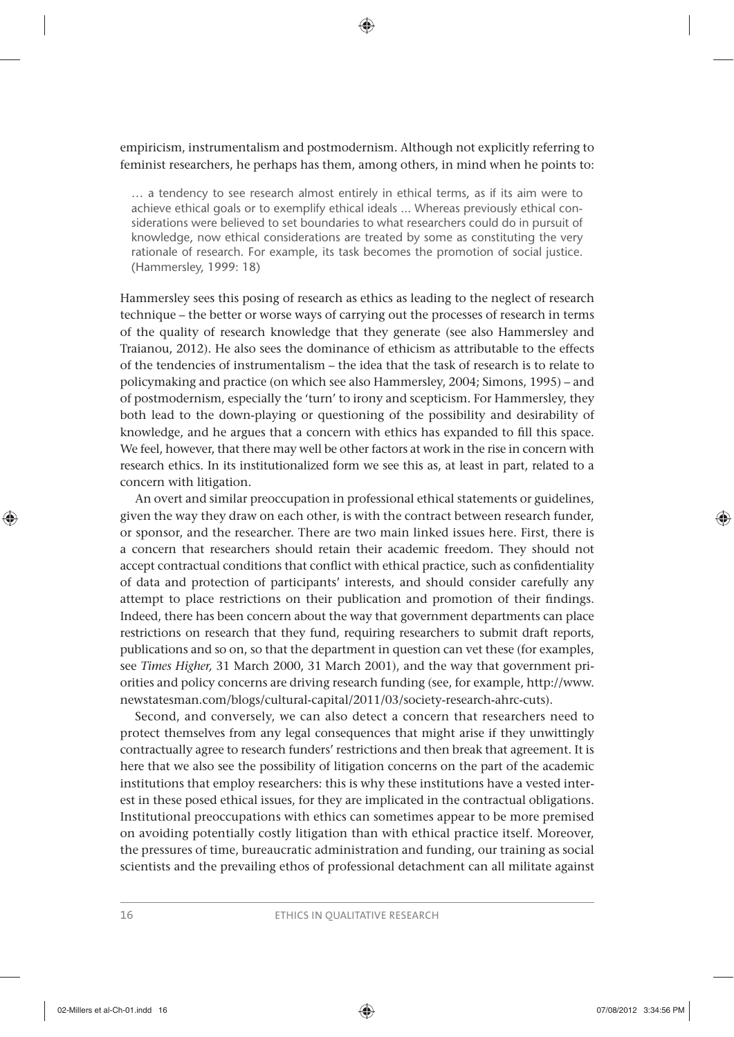empiricism, instrumentalism and postmodernism. Although not explicitly referring to feminist researchers, he perhaps has them, among others, in mind when he points to:

♠

… a tendency to see research almost entirely in ethical terms, as if its aim were to achieve ethical goals or to exemplify ethical ideals ... Whereas previously ethical considerations were believed to set boundaries to what researchers could do in pursuit of knowledge, now ethical considerations are treated by some as constituting the very rationale of research. For example, its task becomes the promotion of social justice. (Hammersley, 1999: 18)

Hammersley sees this posing of research as ethics as leading to the neglect of research technique – the better or worse ways of carrying out the processes of research in terms of the quality of research knowledge that they generate (see also Hammersley and Traianou, 2012). He also sees the dominance of ethicism as attributable to the effects of the tendencies of instrumentalism – the idea that the task of research is to relate to policymaking and practice (on which see also Hammersley, 2004; Simons, 1995) – and of postmodernism, especially the 'turn' to irony and scepticism. For Hammersley, they both lead to the down-playing or questioning of the possibility and desirability of knowledge, and he argues that a concern with ethics has expanded to fill this space. We feel, however, that there may well be other factors at work in the rise in concern with research ethics. In its institutionalized form we see this as, at least in part, related to a concern with litigation.

An overt and similar preoccupation in professional ethical statements or guidelines, given the way they draw on each other, is with the contract between research funder, or sponsor, and the researcher. There are two main linked issues here. First, there is a concern that researchers should retain their academic freedom. They should not accept contractual conditions that conflict with ethical practice, such as confidentiality of data and protection of participants' interests, and should consider carefully any attempt to place restrictions on their publication and promotion of their findings. Indeed, there has been concern about the way that government departments can place restrictions on research that they fund, requiring researchers to submit draft reports, publications and so on, so that the department in question can vet these (for examples, see *Times Higher,* 31 March 2000, 31 March 2001), and the way that government priorities and policy concerns are driving research funding (see, for example, http://www. newstatesman.com/blogs/cultural-capital/2011/03/society-research-ahrc-cuts).

Second, and conversely, we can also detect a concern that researchers need to protect themselves from any legal consequences that might arise if they unwittingly contractually agree to research funders' restrictions and then break that agreement. It is here that we also see the possibility of litigation concerns on the part of the academic institutions that employ researchers: this is why these institutions have a vested interest in these posed ethical issues, for they are implicated in the contractual obligations. Institutional preoccupations with ethics can sometimes appear to be more premised on avoiding potentially costly litigation than with ethical practice itself. Moreover, the pressures of time, bureaucratic administration and funding, our training as social scientists and the prevailing ethos of professional detachment can all militate against

◈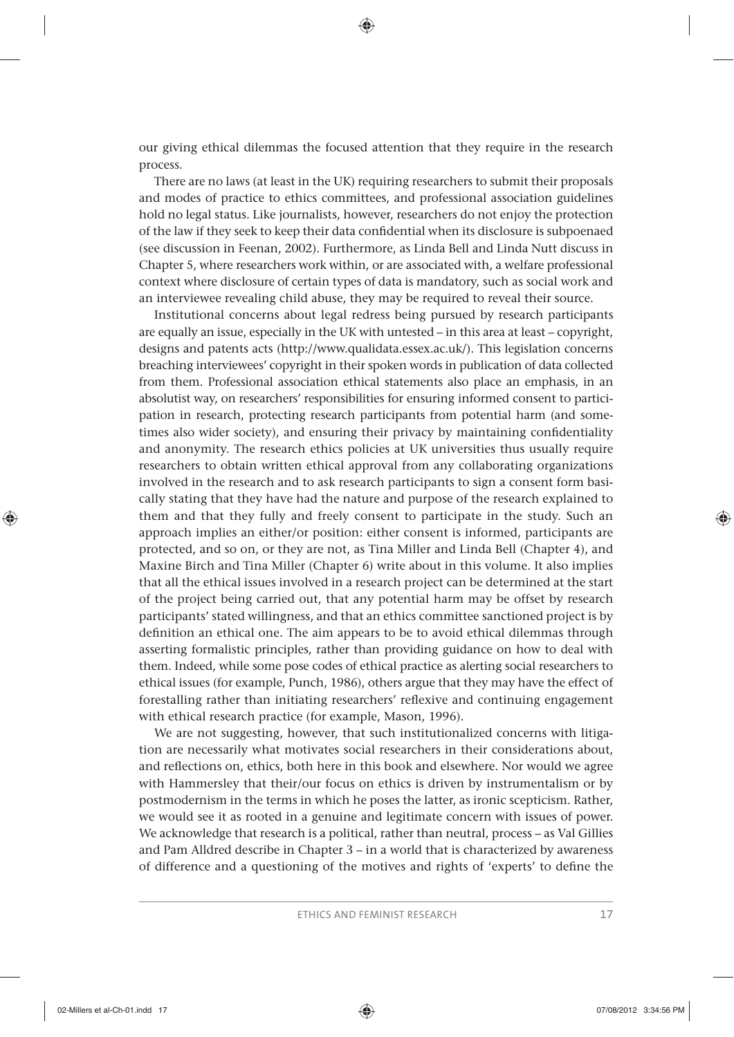our giving ethical dilemmas the focused attention that they require in the research process.

◈

There are no laws (at least in the UK) requiring researchers to submit their proposals and modes of practice to ethics committees, and professional association guidelines hold no legal status. Like journalists, however, researchers do not enjoy the protection of the law if they seek to keep their data confidential when its disclosure is subpoenaed (see discussion in Feenan, 2002). Furthermore, as Linda Bell and Linda Nutt discuss in Chapter 5, where researchers work within, or are associated with, a welfare professional context where disclosure of certain types of data is mandatory, such as social work and an interviewee revealing child abuse, they may be required to reveal their source.

Institutional concerns about legal redress being pursued by research participants are equally an issue, especially in the UK with untested – in this area at least – copyright, designs and patents acts (http://www.qualidata.essex.ac.uk/). This legislation concerns breaching interviewees' copyright in their spoken words in publication of data collected from them. Professional association ethical statements also place an emphasis, in an absolutist way, on researchers' responsibilities for ensuring informed consent to participation in research, protecting research participants from potential harm (and sometimes also wider society), and ensuring their privacy by maintaining confidentiality and anonymity. The research ethics policies at UK universities thus usually require researchers to obtain written ethical approval from any collaborating organizations involved in the research and to ask research participants to sign a consent form basically stating that they have had the nature and purpose of the research explained to them and that they fully and freely consent to participate in the study. Such an approach implies an either/or position: either consent is informed, participants are protected, and so on, or they are not, as Tina Miller and Linda Bell (Chapter 4), and Maxine Birch and Tina Miller (Chapter 6) write about in this volume. It also implies that all the ethical issues involved in a research project can be determined at the start of the project being carried out, that any potential harm may be offset by research participants' stated willingness, and that an ethics committee sanctioned project is by definition an ethical one. The aim appears to be to avoid ethical dilemmas through asserting formalistic principles, rather than providing guidance on how to deal with them. Indeed, while some pose codes of ethical practice as alerting social researchers to ethical issues (for example, Punch, 1986), others argue that they may have the effect of forestalling rather than initiating researchers' reflexive and continuing engagement with ethical research practice (for example, Mason, 1996).

We are not suggesting, however, that such institutionalized concerns with litigation are necessarily what motivates social researchers in their considerations about, and reflections on, ethics, both here in this book and elsewhere. Nor would we agree with Hammersley that their/our focus on ethics is driven by instrumentalism or by postmodernism in the terms in which he poses the latter, as ironic scepticism. Rather, we would see it as rooted in a genuine and legitimate concern with issues of power. We acknowledge that research is a political, rather than neutral, process – as Val Gillies and Pam Alldred describe in Chapter 3 – in a world that is characterized by awareness of difference and a questioning of the motives and rights of 'experts' to define the

ETHICS AND FEMINIST RESEARCH 17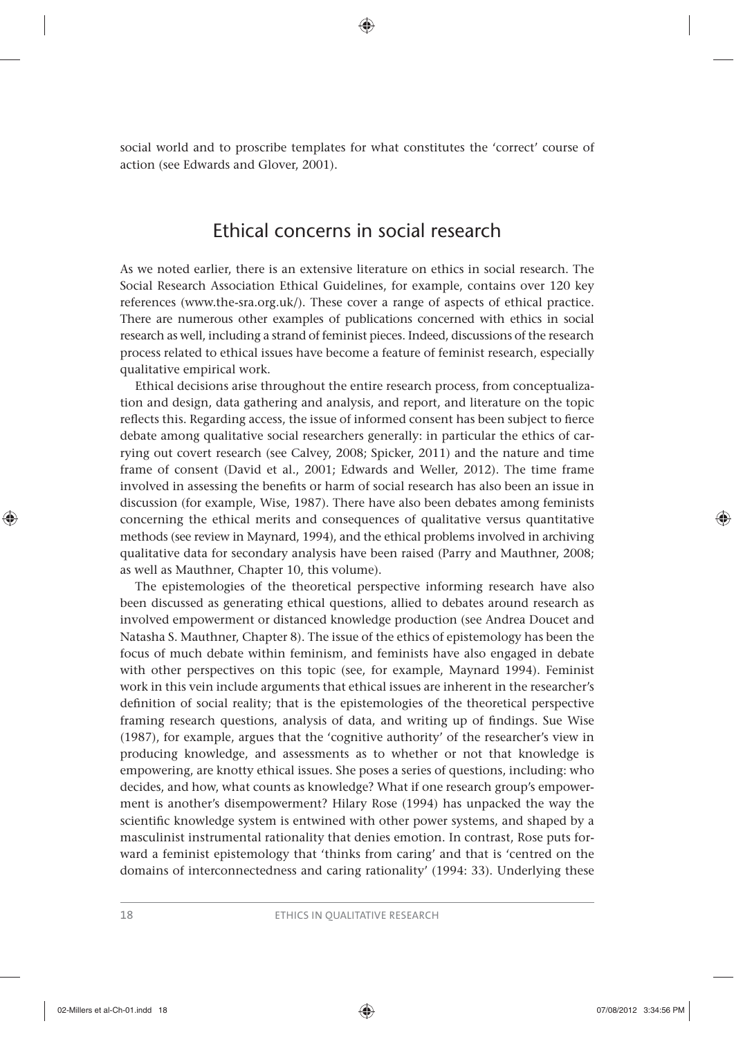social world and to proscribe templates for what constitutes the 'correct' course of action (see Edwards and Glover, 2001).

◈

#### Ethical concerns in social research

As we noted earlier, there is an extensive literature on ethics in social research. The Social Research Association Ethical Guidelines, for example, contains over 120 key references (www.the-sra.org.uk/). These cover a range of aspects of ethical practice. There are numerous other examples of publications concerned with ethics in social research as well, including a strand of feminist pieces. Indeed, discussions of the research process related to ethical issues have become a feature of feminist research, especially qualitative empirical work.

Ethical decisions arise throughout the entire research process, from conceptualization and design, data gathering and analysis, and report, and literature on the topic reflects this. Regarding access, the issue of informed consent has been subject to fierce debate among qualitative social researchers generally: in particular the ethics of carrying out covert research (see Calvey, 2008; Spicker, 2011) and the nature and time frame of consent (David et al., 2001; Edwards and Weller, 2012). The time frame involved in assessing the benefits or harm of social research has also been an issue in discussion (for example, Wise, 1987). There have also been debates among feminists concerning the ethical merits and consequences of qualitative versus quantitative methods (see review in Maynard, 1994), and the ethical problems involved in archiving qualitative data for secondary analysis have been raised (Parry and Mauthner, 2008; as well as Mauthner, Chapter 10, this volume).

The epistemologies of the theoretical perspective informing research have also been discussed as generating ethical questions, allied to debates around research as involved empowerment or distanced knowledge production (see Andrea Doucet and Natasha S. Mauthner, Chapter 8). The issue of the ethics of epistemology has been the focus of much debate within feminism, and feminists have also engaged in debate with other perspectives on this topic (see, for example, Maynard 1994). Feminist work in this vein include arguments that ethical issues are inherent in the researcher's definition of social reality; that is the epistemologies of the theoretical perspective framing research questions, analysis of data, and writing up of findings. Sue Wise (1987), for example, argues that the 'cognitive authority' of the researcher's view in producing knowledge, and assessments as to whether or not that knowledge is empowering, are knotty ethical issues. She poses a series of questions, including: who decides, and how, what counts as knowledge? What if one research group's empowerment is another's disempowerment? Hilary Rose (1994) has unpacked the way the scientific knowledge system is entwined with other power systems, and shaped by a masculinist instrumental rationality that denies emotion. In contrast, Rose puts forward a feminist epistemology that 'thinks from caring' and that is 'centred on the domains of interconnectedness and caring rationality' (1994: 33). Underlying these

18 **ETHICS IN OUALITATIVE RESEARCH** 

◈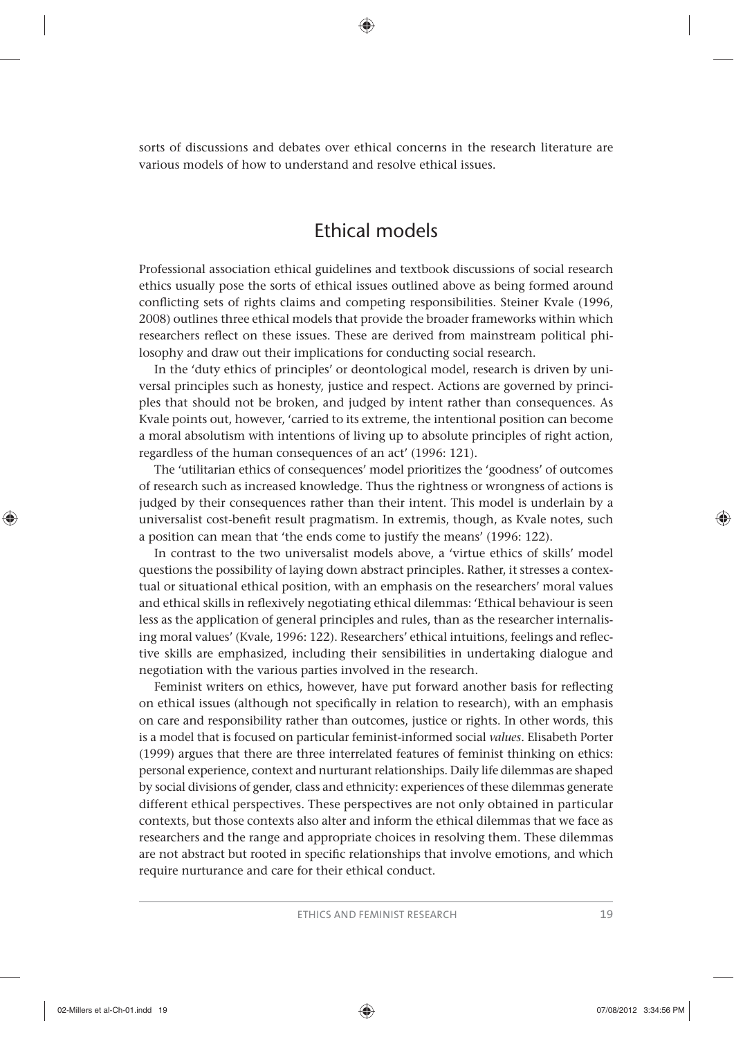sorts of discussions and debates over ethical concerns in the research literature are various models of how to understand and resolve ethical issues.

◈

#### Ethical models

Professional association ethical guidelines and textbook discussions of social research ethics usually pose the sorts of ethical issues outlined above as being formed around conflicting sets of rights claims and competing responsibilities. Steiner Kvale (1996, 2008) outlines three ethical models that provide the broader frameworks within which researchers reflect on these issues. These are derived from mainstream political philosophy and draw out their implications for conducting social research.

In the 'duty ethics of principles' or deontological model, research is driven by universal principles such as honesty, justice and respect. Actions are governed by principles that should not be broken, and judged by intent rather than consequences. As Kvale points out, however, 'carried to its extreme, the intentional position can become a moral absolutism with intentions of living up to absolute principles of right action, regardless of the human consequences of an act' (1996: 121).

The 'utilitarian ethics of consequences' model prioritizes the 'goodness' of outcomes of research such as increased knowledge. Thus the rightness or wrongness of actions is judged by their consequences rather than their intent. This model is underlain by a universalist cost-benefit result pragmatism. In extremis, though, as Kvale notes, such a position can mean that 'the ends come to justify the means' (1996: 122).

In contrast to the two universalist models above, a 'virtue ethics of skills' model questions the possibility of laying down abstract principles. Rather, it stresses a contextual or situational ethical position, with an emphasis on the researchers' moral values and ethical skills in reflexively negotiating ethical dilemmas: 'Ethical behaviour is seen less as the application of general principles and rules, than as the researcher internalising moral values' (Kvale, 1996: 122). Researchers' ethical intuitions, feelings and reflective skills are emphasized, including their sensibilities in undertaking dialogue and negotiation with the various parties involved in the research.

Feminist writers on ethics, however, have put forward another basis for reflecting on ethical issues (although not specifically in relation to research), with an emphasis on care and responsibility rather than outcomes, justice or rights. In other words, this is a model that is focused on particular feminist-informed social *values.* Elisabeth Porter (1999) argues that there are three interrelated features of feminist thinking on ethics: personal experience, context and nurturant relationships. Daily life dilemmas are shaped by social divisions of gender, class and ethnicity: experiences of these dilemmas generate different ethical perspectives. These perspectives are not only obtained in particular contexts, but those contexts also alter and inform the ethical dilemmas that we face as researchers and the range and appropriate choices in resolving them. These dilemmas are not abstract but rooted in specific relationships that involve emotions, and which require nurturance and care for their ethical conduct.

◈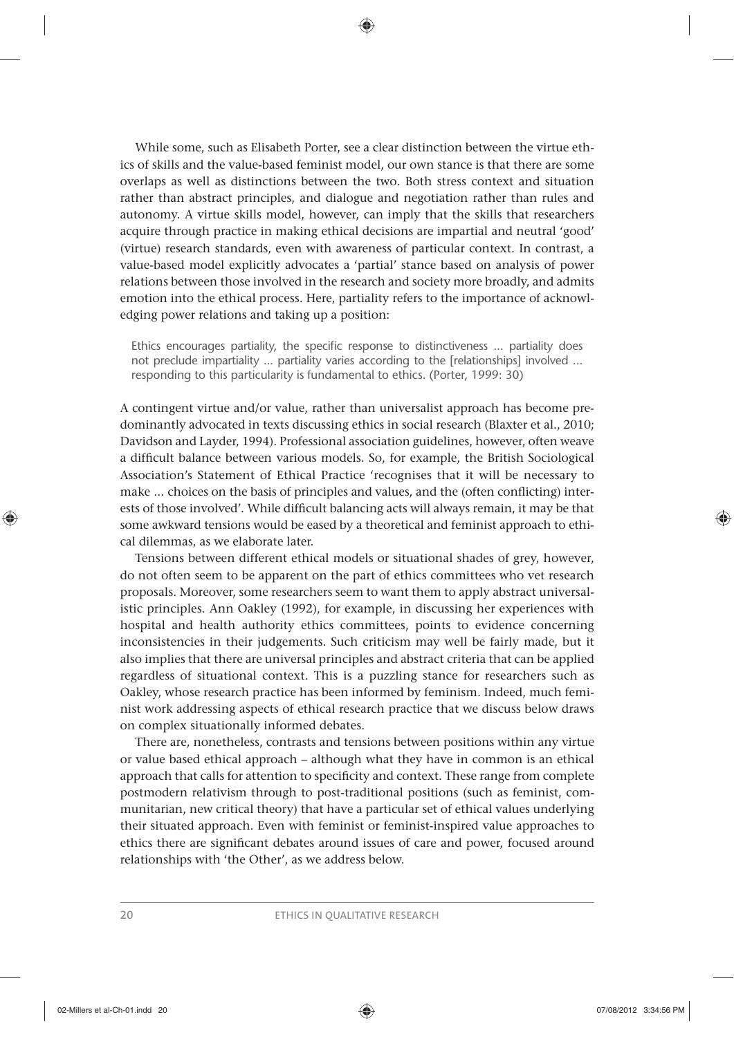◈

While some, such as Elisabeth Porter, see a clear distinction between the virtue ethics of skills and the value-based feminist model, our own stance is that there are some overlaps as well as distinctions between the two. Both stress context and situation rather than abstract principles, and dialogue and negotiation rather than rules and autonomy. A virtue skills model, however, can imply that the skills that researchers acquire through practice in making ethical decisions are impartial and neutral 'good' (virtue) research standards, even with awareness of particular context. In contrast, a value-based model explicitly advocates a 'partial' stance based on analysis of power relations between those involved in the research and society more broadly, and admits emotion into the ethical process. Here, partiality refers to the importance of acknowledging power relations and taking up a position:

Ethics encourages partiality, the specific response to distinctiveness ... partiality does not preclude impartiality ... partiality varies according to the [relationships] involved ... responding to this particularity is fundamental to ethics. (Porter, 1999: 30)

A contingent virtue and/or value, rather than universalist approach has become predominantly advocated in texts discussing ethics in social research (Blaxter et al., 2010; Davidson and Layder, 1994). Professional association guidelines, however, often weave a difficult balance between various models. So, for example, the British Sociological Association's Statement of Ethical Practice 'recognises that it will be necessary to make ... choices on the basis of principles and values, and the (often conflicting) interests of those involved'. While difficult balancing acts will always remain, it may be that some awkward tensions would be eased by a theoretical and feminist approach to ethical dilemmas, as we elaborate later.

Tensions between different ethical models or situational shades of grey, however, do not often seem to be apparent on the part of ethics committees who vet research proposals. Moreover, some researchers seem to want them to apply abstract universalistic principles. Ann Oakley (1992), for example, in discussing her experiences with hospital and health authority ethics committees, points to evidence concerning inconsistencies in their judgements. Such criticism may well be fairly made, but it also implies that there are universal principles and abstract criteria that can be applied regardless of situational context. This is a puzzling stance for researchers such as Oakley, whose research practice has been informed by feminism. Indeed, much feminist work addressing aspects of ethical research practice that we discuss below draws on complex situationally informed debates.

There are, nonetheless, contrasts and tensions between positions within any virtue or value based ethical approach – although what they have in common is an ethical approach that calls for attention to specificity and context. These range from complete postmodern relativism through to post-traditional positions (such as feminist, communitarian, new critical theory) that have a particular set of ethical values underlying their situated approach. Even with feminist or feminist-inspired value approaches to ethics there are significant debates around issues of care and power, focused around relationships with 'the Other', as we address below.

◈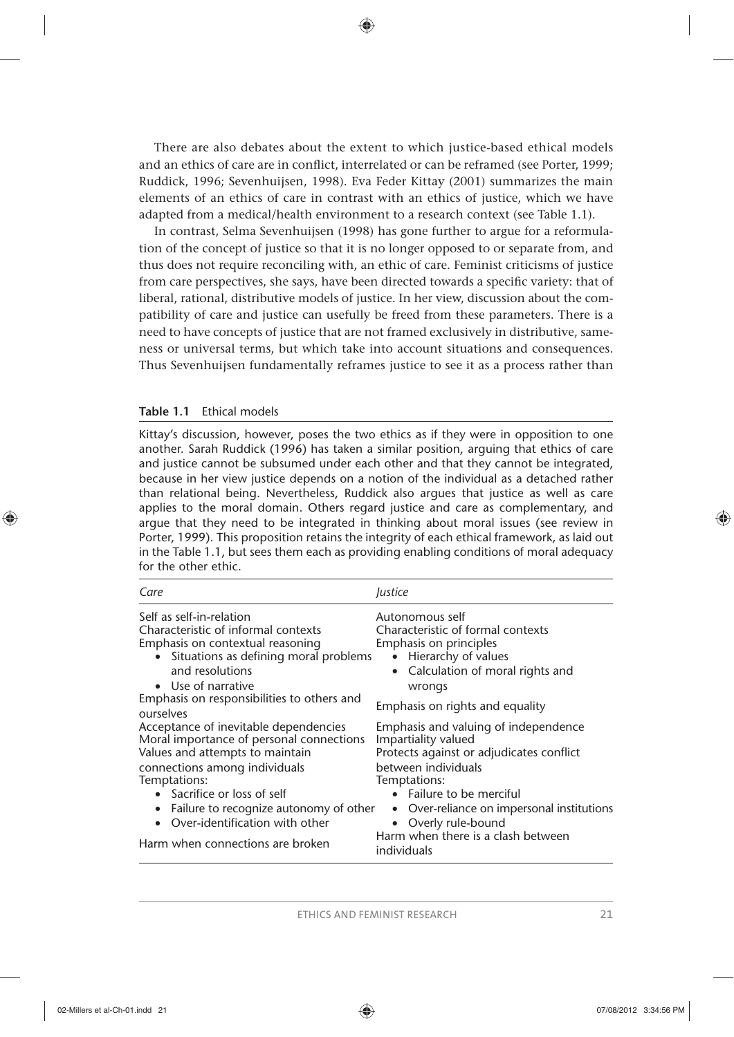There are also debates about the extent to which justice-based ethical models and an ethics of care are in conflict, interrelated or can be reframed (see Porter, 1999; Ruddick, 1996; Sevenhuijsen, 1998). Eva Feder Kittay (2001) summarizes the main elements of an ethics of care in contrast with an ethics of justice, which we have adapted from a medical/health environment to a research context (see Table 1.1).

◈

In contrast, Selma Sevenhuijsen (1998) has gone further to argue for a reformulation of the concept of justice so that it is no longer opposed to or separate from, and thus does not require reconciling with, an ethic of care. Feminist criticisms of justice from care perspectives, she says, have been directed towards a specific variety: that of liberal, rational, distributive models of justice. In her view, discussion about the compatibility of care and justice can usefully be freed from these parameters. There is a need to have concepts of justice that are not framed exclusively in distributive, sameness or universal terms, but which take into account situations and consequences. Thus Sevenhuijsen fundamentally reframes justice to see it as a process rather than

#### **Table 1.1** Ethical models

Kittay's discussion, however, poses the two ethics as if they were in opposition to one another. Sarah Ruddick (1996) has taken a similar position, arguing that ethics of care and justice cannot be subsumed under each other and that they cannot be integrated, because in her view justice depends on a notion of the individual as a detached rather than relational being. Nevertheless, Ruddick also argues that justice as well as care applies to the moral domain. Others regard justice and care as complementary, and argue that they need to be integrated in thinking about moral issues (see review in Porter, 1999). This proposition retains the integrity of each ethical framework, as laid out in the Table 1.1, but sees them each as providing enabling conditions of moral adequacy for the other ethic.

| Care                                                                                                                                                                                                                                                                                                                                                                                                                                                                                                                                                                         | <i><u><b>lustice</b></u></i>                                                                                                                                                                                                                                                                                                                                                                                                                                                                      |
|------------------------------------------------------------------------------------------------------------------------------------------------------------------------------------------------------------------------------------------------------------------------------------------------------------------------------------------------------------------------------------------------------------------------------------------------------------------------------------------------------------------------------------------------------------------------------|---------------------------------------------------------------------------------------------------------------------------------------------------------------------------------------------------------------------------------------------------------------------------------------------------------------------------------------------------------------------------------------------------------------------------------------------------------------------------------------------------|
| Self as self-in-relation<br>Characteristic of informal contexts<br>Emphasis on contextual reasoning<br>Situations as defining moral problems<br>and resolutions<br>• Use of narrative<br>Emphasis on responsibilities to others and<br>ourselves<br>Acceptance of inevitable dependencies<br>Moral importance of personal connections<br>Values and attempts to maintain<br>connections among individuals<br>Temptations:<br>• Sacrifice or loss of self<br>• Failure to recognize autonomy of other<br>• Over-identification with other<br>Harm when connections are broken | Autonomous self<br>Characteristic of formal contexts<br>Emphasis on principles<br>• Hierarchy of values<br>• Calculation of moral rights and<br>wrongs<br>Emphasis on rights and equality<br>Emphasis and valuing of independence<br>Impartiality valued<br>Protects against or adjudicates conflict<br>between individuals<br>Temptations:<br>• Failure to be merciful<br>• Over-reliance on impersonal institutions<br>• Overly rule-bound<br>Harm when there is a clash between<br>individuals |
|                                                                                                                                                                                                                                                                                                                                                                                                                                                                                                                                                                              |                                                                                                                                                                                                                                                                                                                                                                                                                                                                                                   |

◈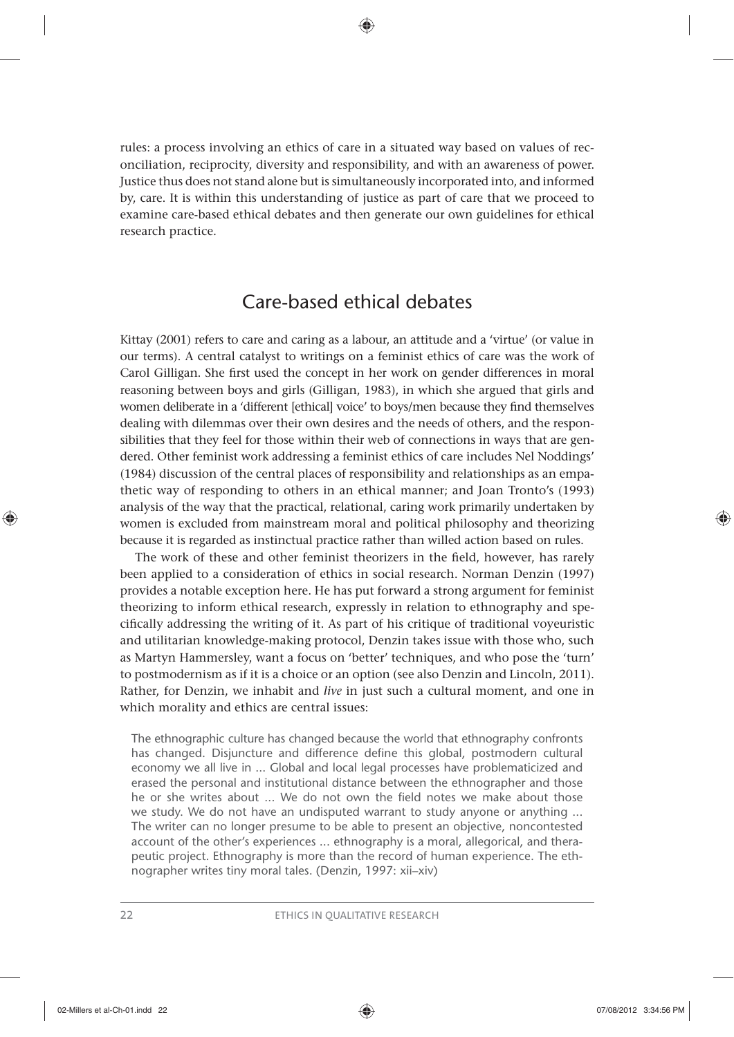rules: a process involving an ethics of care in a situated way based on values of reconciliation, reciprocity, diversity and responsibility, and with an awareness of power. Justice thus does not stand alone but is simultaneously incorporated into, and informed by, care. It is within this understanding of justice as part of care that we proceed to examine care-based ethical debates and then generate our own guidelines for ethical research practice.

#### Care-based ethical debates

Kittay (2001) refers to care and caring as a labour, an attitude and a 'virtue' (or value in our terms). A central catalyst to writings on a feminist ethics of care was the work of Carol Gilligan. She first used the concept in her work on gender differences in moral reasoning between boys and girls (Gilligan, 1983), in which she argued that girls and women deliberate in a 'different [ethical] voice' to boys/men because they find themselves dealing with dilemmas over their own desires and the needs of others, and the responsibilities that they feel for those within their web of connections in ways that are gendered. Other feminist work addressing a feminist ethics of care includes Nel Noddings' (1984) discussion of the central places of responsibility and relationships as an empathetic way of responding to others in an ethical manner; and Joan Tronto's (1993) analysis of the way that the practical, relational, caring work primarily undertaken by women is excluded from mainstream moral and political philosophy and theorizing because it is regarded as instinctual practice rather than willed action based on rules.

The work of these and other feminist theorizers in the field, however, has rarely been applied to a consideration of ethics in social research. Norman Denzin (1997) provides a notable exception here. He has put forward a strong argument for feminist theorizing to inform ethical research, expressly in relation to ethnography and specifically addressing the writing of it. As part of his critique of traditional voyeuristic and utilitarian knowledge-making protocol, Denzin takes issue with those who, such as Martyn Hammersley, want a focus on 'better' techniques, and who pose the 'turn' to postmodernism as if it is a choice or an option (see also Denzin and Lincoln, 2011). Rather, for Denzin, we inhabit and *live* in just such a cultural moment, and one in which morality and ethics are central issues:

The ethnographic culture has changed because the world that ethnography confronts has changed. Disjuncture and difference define this global, postmodern cultural economy we all live in ... Global and local legal processes have problematicized and erased the personal and institutional distance between the ethnographer and those he or she writes about ... We do not own the field notes we make about those we study. We do not have an undisputed warrant to study anyone or anything ... The writer can no longer presume to be able to present an objective, noncontested account of the other's experiences ... ethnography is a moral, allegorical, and therapeutic project. Ethnography is more than the record of human experience. The ethnographer writes tiny moral tales. (Denzin, 1997: xii–xiv)

♠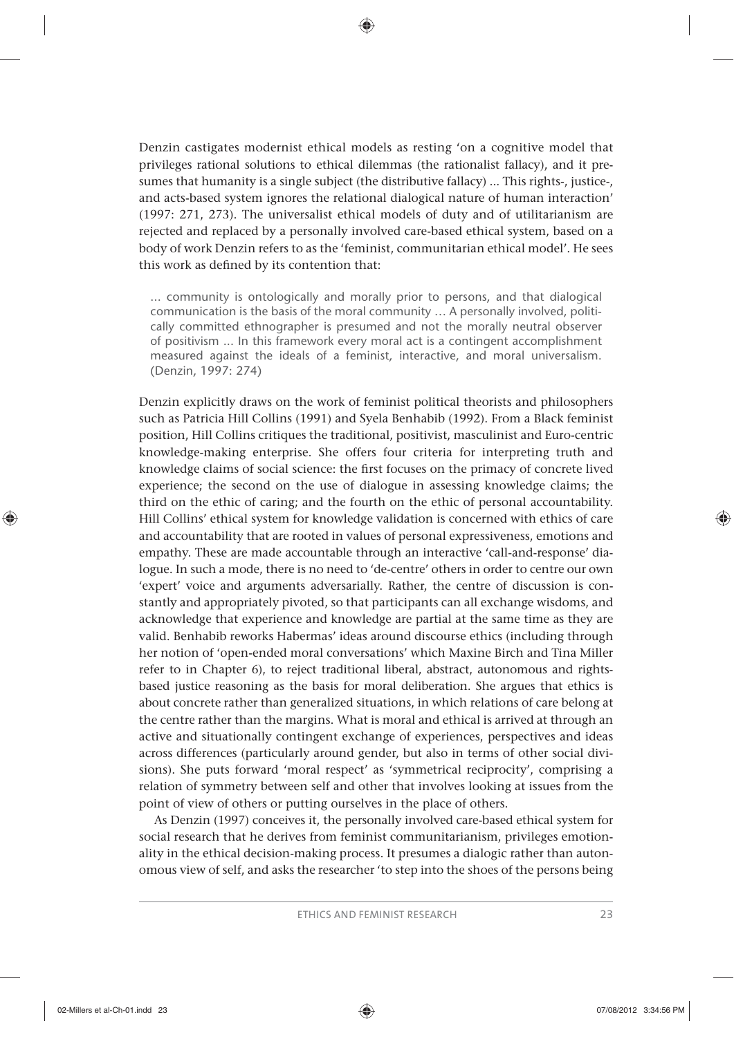◈

Denzin castigates modernist ethical models as resting 'on a cognitive model that privileges rational solutions to ethical dilemmas (the rationalist fallacy), and it presumes that humanity is a single subject (the distributive fallacy) ... This rights-, justice-, and acts-based system ignores the relational dialogical nature of human interaction' (1997: 271, 273). The universalist ethical models of duty and of utilitarianism are rejected and replaced by a personally involved care-based ethical system, based on a body of work Denzin refers to as the 'feminist, communitarian ethical model'. He sees this work as defined by its contention that:

... community is ontologically and morally prior to persons, and that dialogical communication is the basis of the moral community … A personally involved, politically committed ethnographer is presumed and not the morally neutral observer of positivism ... In this framework every moral act is a contingent accomplishment measured against the ideals of a feminist, interactive, and moral universalism. (Denzin, 1997: 274)

Denzin explicitly draws on the work of feminist political theorists and philosophers such as Patricia Hill Collins (1991) and Syela Benhabib (1992). From a Black feminist position, Hill Collins critiques the traditional, positivist, masculinist and Euro-centric knowledge-making enterprise. She offers four criteria for interpreting truth and knowledge claims of social science: the first focuses on the primacy of concrete lived experience; the second on the use of dialogue in assessing knowledge claims; the third on the ethic of caring; and the fourth on the ethic of personal accountability. Hill Collins' ethical system for knowledge validation is concerned with ethics of care and accountability that are rooted in values of personal expressiveness, emotions and empathy. These are made accountable through an interactive 'call-and-response' dialogue. In such a mode, there is no need to 'de-centre' others in order to centre our own 'expert' voice and arguments adversarially. Rather, the centre of discussion is constantly and appropriately pivoted, so that participants can all exchange wisdoms, and acknowledge that experience and knowledge are partial at the same time as they are valid. Benhabib reworks Habermas' ideas around discourse ethics (including through her notion of 'open-ended moral conversations' which Maxine Birch and Tina Miller refer to in Chapter 6), to reject traditional liberal, abstract, autonomous and rightsbased justice reasoning as the basis for moral deliberation. She argues that ethics is about concrete rather than generalized situations, in which relations of care belong at the centre rather than the margins. What is moral and ethical is arrived at through an active and situationally contingent exchange of experiences, perspectives and ideas across differences (particularly around gender, but also in terms of other social divisions). She puts forward 'moral respect' as 'symmetrical reciprocity', comprising a relation of symmetry between self and other that involves looking at issues from the point of view of others or putting ourselves in the place of others.

As Denzin (1997) conceives it, the personally involved care-based ethical system for social research that he derives from feminist communitarianism, privileges emotionality in the ethical decision-making process. It presumes a dialogic rather than autonomous view of self, and asks the researcher 'to step into the shoes of the persons being

ETHICS AND FEMINIST RESEARCH 23

◈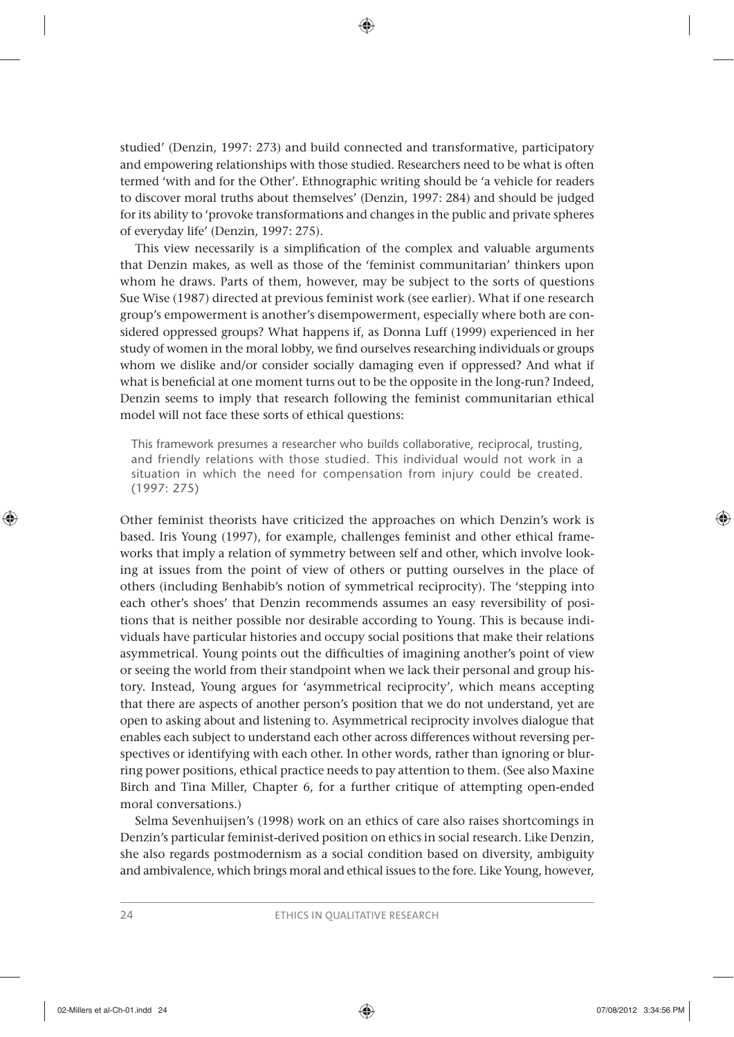studied' (Denzin, 1997: 273) and build connected and transformative, participatory and empowering relationships with those studied. Researchers need to be what is often termed 'with and for the Other'. Ethnographic writing should be 'a vehicle for readers to discover moral truths about themselves' (Denzin, 1997: 284) and should be judged for its ability to 'provoke transformations and changes in the public and private spheres of everyday life' (Denzin, 1997: 275).

◈

This view necessarily is a simplification of the complex and valuable arguments that Denzin makes, as well as those of the 'feminist communitarian' thinkers upon whom he draws. Parts of them, however, may be subject to the sorts of questions Sue Wise (1987) directed at previous feminist work (see earlier). What if one research group's empowerment is another's disempowerment, especially where both are considered oppressed groups? What happens if, as Donna Luff (1999) experienced in her study of women in the moral lobby, we find ourselves researching individuals or groups whom we dislike and/or consider socially damaging even if oppressed? And what if what is beneficial at one moment turns out to be the opposite in the long-run? Indeed, Denzin seems to imply that research following the feminist communitarian ethical model will not face these sorts of ethical questions:

This framework presumes a researcher who builds collaborative, reciprocal, trusting, and friendly relations with those studied. This individual would not work in a situation in which the need for compensation from injury could be created. (1997: 275)

Other feminist theorists have criticized the approaches on which Denzin's work is based. Iris Young (1997), for example, challenges feminist and other ethical frameworks that imply a relation of symmetry between self and other, which involve looking at issues from the point of view of others or putting ourselves in the place of others (including Benhabib's notion of symmetrical reciprocity). The 'stepping into each other's shoes' that Denzin recommends assumes an easy reversibility of positions that is neither possible nor desirable according to Young. This is because individuals have particular histories and occupy social positions that make their relations asymmetrical. Young points out the difficulties of imagining another's point of view or seeing the world from their standpoint when we lack their personal and group history. Instead, Young argues for 'asymmetrical reciprocity', which means accepting that there are aspects of another person's position that we do not understand, yet are open to asking about and listening to. Asymmetrical reciprocity involves dialogue that enables each subject to understand each other across differences without reversing perspectives or identifying with each other. In other words, rather than ignoring or blurring power positions, ethical practice needs to pay attention to them. (See also Maxine Birch and Tina Miller, Chapter 6, for a further critique of attempting open-ended moral conversations.)

Selma Sevenhuijsen's (1998) work on an ethics of care also raises shortcomings in Denzin's particular feminist-derived position on ethics in social research. Like Denzin, she also regards postmodernism as a social condition based on diversity, ambiguity and ambivalence, which brings moral and ethical issues to the fore. Like Young, however,

◈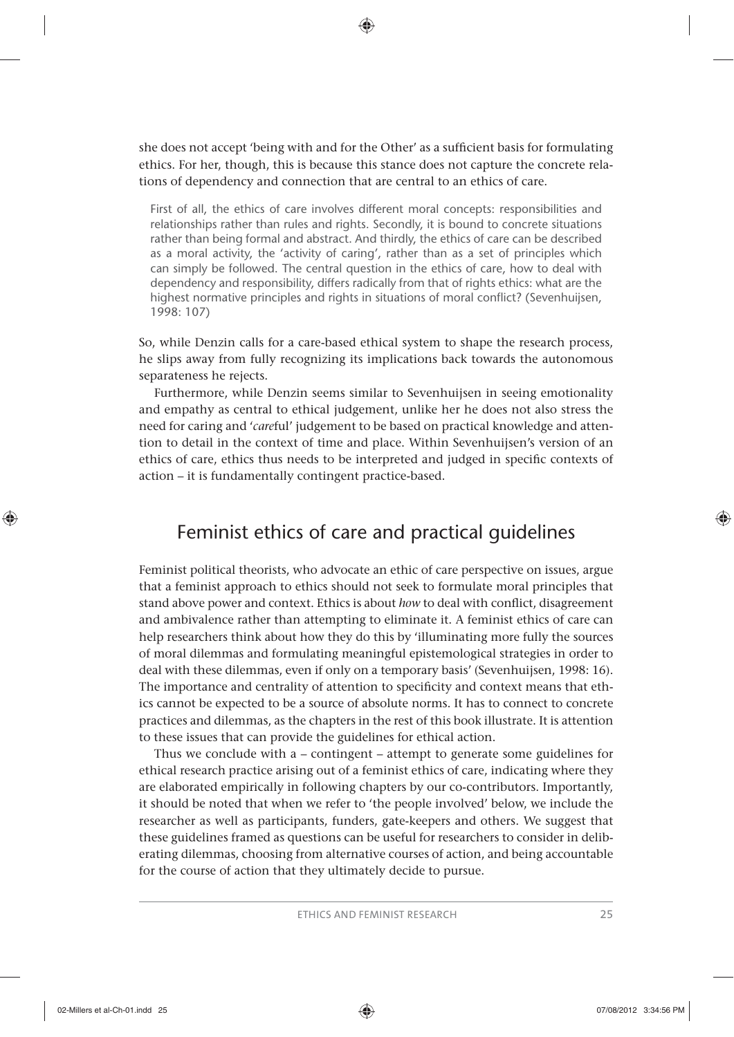she does not accept 'being with and for the Other' as a sufficient basis for formulating ethics. For her, though, this is because this stance does not capture the concrete relations of dependency and connection that are central to an ethics of care.

◈

First of all, the ethics of care involves different moral concepts: responsibilities and relationships rather than rules and rights. Secondly, it is bound to concrete situations rather than being formal and abstract. And thirdly, the ethics of care can be described as a moral activity, the 'activity of caring', rather than as a set of principles which can simply be followed. The central question in the ethics of care, how to deal with dependency and responsibility, differs radically from that of rights ethics: what are the highest normative principles and rights in situations of moral conflict? (Sevenhuijsen, 1998: 107)

So, while Denzin calls for a care-based ethical system to shape the research process, he slips away from fully recognizing its implications back towards the autonomous separateness he rejects.

Furthermore, while Denzin seems similar to Sevenhuijsen in seeing emotionality and empathy as central to ethical judgement, unlike her he does not also stress the need for caring and '*care*ful' judgement to be based on practical knowledge and attention to detail in the context of time and place. Within Sevenhuijsen's version of an ethics of care, ethics thus needs to be interpreted and judged in specific contexts of action – it is fundamentally contingent practice-based.

#### Feminist ethics of care and practical guidelines

Feminist political theorists, who advocate an ethic of care perspective on issues, argue that a feminist approach to ethics should not seek to formulate moral principles that stand above power and context. Ethics is about *how* to deal with conflict, disagreement and ambivalence rather than attempting to eliminate it. A feminist ethics of care can help researchers think about how they do this by 'illuminating more fully the sources of moral dilemmas and formulating meaningful epistemological strategies in order to deal with these dilemmas, even if only on a temporary basis' (Sevenhuijsen, 1998: 16). The importance and centrality of attention to specificity and context means that ethics cannot be expected to be a source of absolute norms. It has to connect to concrete practices and dilemmas, as the chapters in the rest of this book illustrate. It is attention to these issues that can provide the guidelines for ethical action.

Thus we conclude with a – contingent – attempt to generate some guidelines for ethical research practice arising out of a feminist ethics of care, indicating where they are elaborated empirically in following chapters by our co-contributors. Importantly, it should be noted that when we refer to 'the people involved' below, we include the researcher as well as participants, funders, gate-keepers and others. We suggest that these guidelines framed as questions can be useful for researchers to consider in deliberating dilemmas, choosing from alternative courses of action, and being accountable for the course of action that they ultimately decide to pursue.

ETHICS AND FEMINIST RESEARCH 25

◈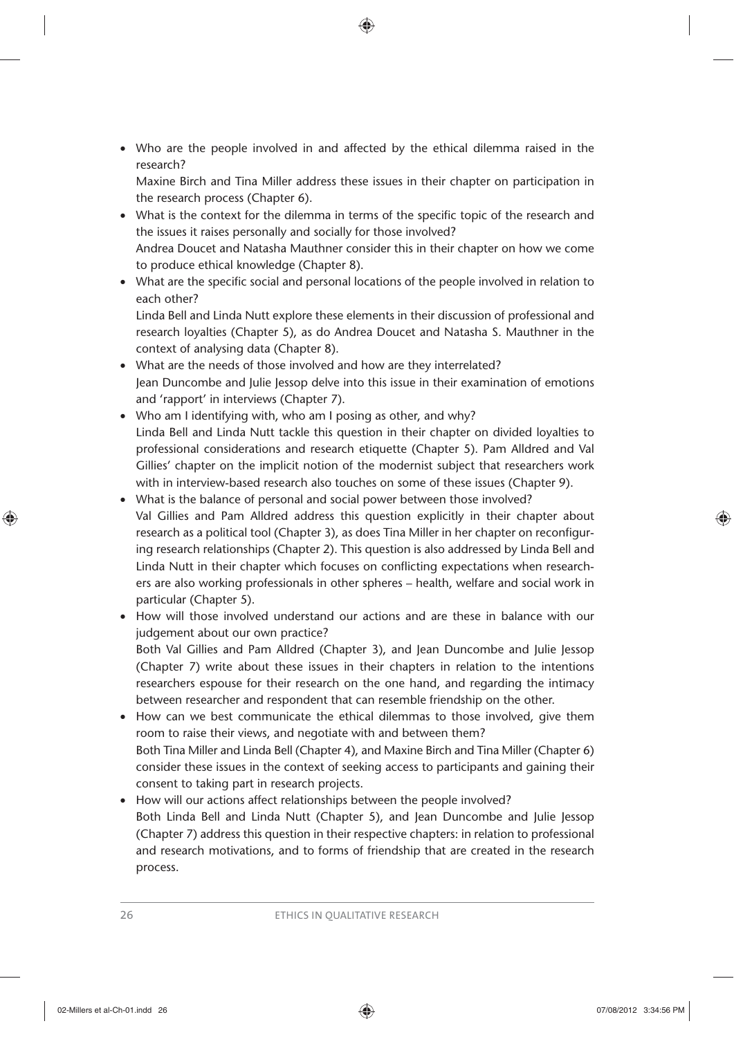• Who are the people involved in and affected by the ethical dilemma raised in the research?

◈

 Maxine Birch and Tina Miller address these issues in their chapter on participation in the research process (Chapter 6).

- What is the context for the dilemma in terms of the specific topic of the research and the issues it raises personally and socially for those involved? Andrea Doucet and Natasha Mauthner consider this in their chapter on how we come to produce ethical knowledge (Chapter 8).
- What are the specific social and personal locations of the people involved in relation to each other?

 Linda Bell and Linda Nutt explore these elements in their discussion of professional and research loyalties (Chapter 5), as do Andrea Doucet and Natasha S. Mauthner in the context of analysing data (Chapter 8).

- What are the needs of those involved and how are they interrelated? Jean Duncombe and Julie Jessop delve into this issue in their examination of emotions and 'rapport' in interviews (Chapter 7).
- Who am I identifying with, who am I posing as other, and why? Linda Bell and Linda Nutt tackle this question in their chapter on divided loyalties to professional considerations and research etiquette (Chapter 5). Pam Alldred and Val Gillies' chapter on the implicit notion of the modernist subject that researchers work with in interview-based research also touches on some of these issues (Chapter 9).
- What is the balance of personal and social power between those involved? Val Gillies and Pam Alldred address this question explicitly in their chapter about research as a political tool (Chapter 3), as does Tina Miller in her chapter on reconfiguring research relationships (Chapter 2). This question is also addressed by Linda Bell and Linda Nutt in their chapter which focuses on conflicting expectations when researchers are also working professionals in other spheres – health, welfare and social work in particular (Chapter 5).
- How will those involved understand our actions and are these in balance with our judgement about our own practice?

 Both Val Gillies and Pam Alldred (Chapter 3), and Jean Duncombe and Julie Jessop (Chapter 7) write about these issues in their chapters in relation to the intentions researchers espouse for their research on the one hand, and regarding the intimacy between researcher and respondent that can resemble friendship on the other.

- How can we best communicate the ethical dilemmas to those involved, give them room to raise their views, and negotiate with and between them? Both Tina Miller and Linda Bell (Chapter 4), and Maxine Birch and Tina Miller (Chapter 6) consider these issues in the context of seeking access to participants and gaining their consent to taking part in research projects.
- How will our actions affect relationships between the people involved? Both Linda Bell and Linda Nutt (Chapter 5), and Jean Duncombe and Julie Jessop (Chapter 7) address this question in their respective chapters: in relation to professional and research motivations, and to forms of friendship that are created in the research process.

⊕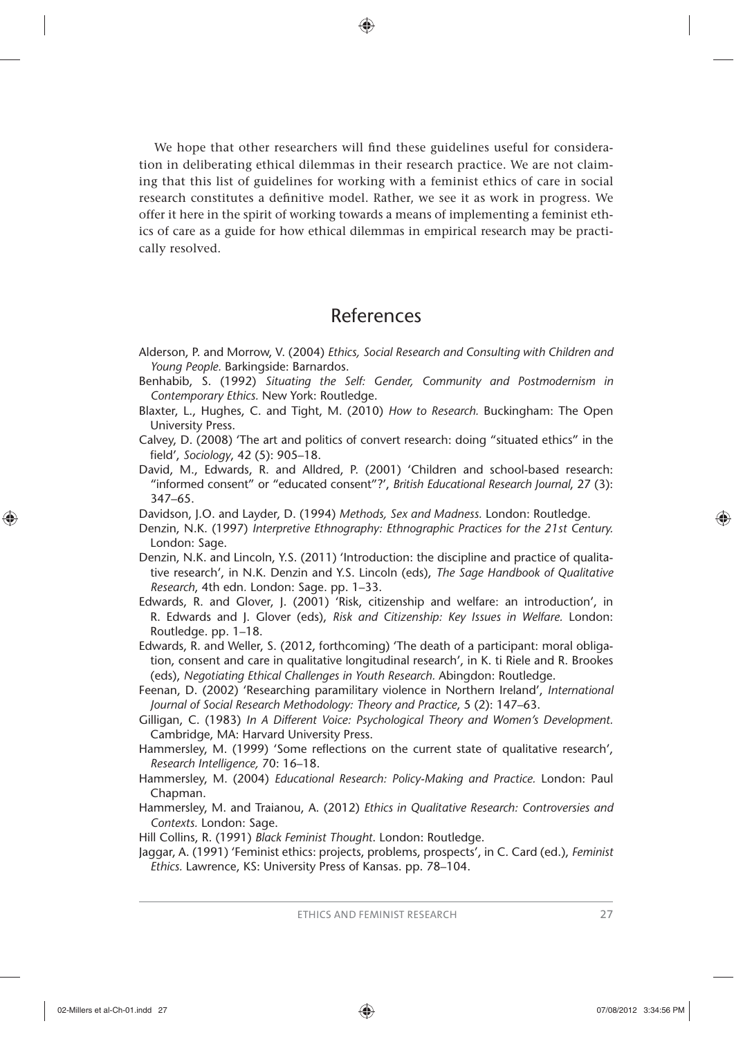We hope that other researchers will find these guidelines useful for consideration in deliberating ethical dilemmas in their research practice. We are not claiming that this list of guidelines for working with a feminist ethics of care in social research constitutes a definitive model. Rather, we see it as work in progress. We offer it here in the spirit of working towards a means of implementing a feminist ethics of care as a guide for how ethical dilemmas in empirical research may be practically resolved.

◈

#### References

- Alderson, P. and Morrow, V. (2004) *Ethics, Social Research and Consulting with Children and Young People.* Barkingside: Barnardos.
- Benhabib, S. (1992) *Situating the Self: Gender, Community and Postmodernism in Contemporary Ethics.* New York: Routledge.
- Blaxter, L., Hughes, C. and Tight, M. (2010) *How to Research.* Buckingham: The Open University Press.
- Calvey, D. (2008) 'The art and politics of convert research: doing "situated ethics" in the field', *Sociology*, 42 (5): 905–18.
- David, M., Edwards, R. and Alldred, P. (2001) 'Children and school-based research: "informed consent" or "educated consent"?', *British Educational Research Journal*, 27 (3): 347–65.
- Davidson, J.O. and Layder, D. (1994) *Methods, Sex and Madness.* London: Routledge.
- Denzin, N.K. (1997) *Interpretive Ethnography: Ethnographic Practices for the 21st Century.* London: Sage.
- Denzin, N.K. and Lincoln, Y.S. (2011) 'Introduction: the discipline and practice of qualitative research', in N.K. Denzin and Y.S. Lincoln (eds), *The Sage Handbook of Qualitative Research*, 4th edn*.* London: Sage. pp. 1–33.
- Edwards, R. and Glover, J. (2001) 'Risk, citizenship and welfare: an introduction', in R. Edwards and J. Glover (eds), *Risk and Citizenship: Key Issues in Welfare.* London: Routledge. pp. 1–18.
- Edwards, R. and Weller, S. (2012, forthcoming) 'The death of a participant: moral obligation, consent and care in qualitative longitudinal research', in K. ti Riele and R. Brookes (eds), *Negotiating Ethical Challenges in Youth Research.* Abingdon: Routledge.
- Feenan, D. (2002) 'Researching paramilitary violence in Northern Ireland', *International Journal of Social Research Methodology: Theory and Practice*, 5 (2): 147–63.
- Gilligan, C. (1983) *In A Different Voice: Psychological Theory and Women's Development.* Cambridge, MA: Harvard University Press.
- Hammersley, M. (1999) 'Some reflections on the current state of qualitative research', *Research Intelligence,* 70: 16–18.
- Hammersley, M. (2004) *Educational Research: Policy-Making and Practice.* London: Paul Chapman.
- Hammersley, M. and Traianou, A. (2012) *Ethics in Qualitative Research: Controversies and Contexts.* London: Sage.
- Hill Collins, R. (1991) *Black Feminist Thought*. London: Routledge.
- Jaggar, A. (1991) 'Feminist ethics: projects, problems, prospects', in C. Card (ed.), *Feminist Ethics.* Lawrence, KS: University Press of Kansas. pp. 78–104.

◈